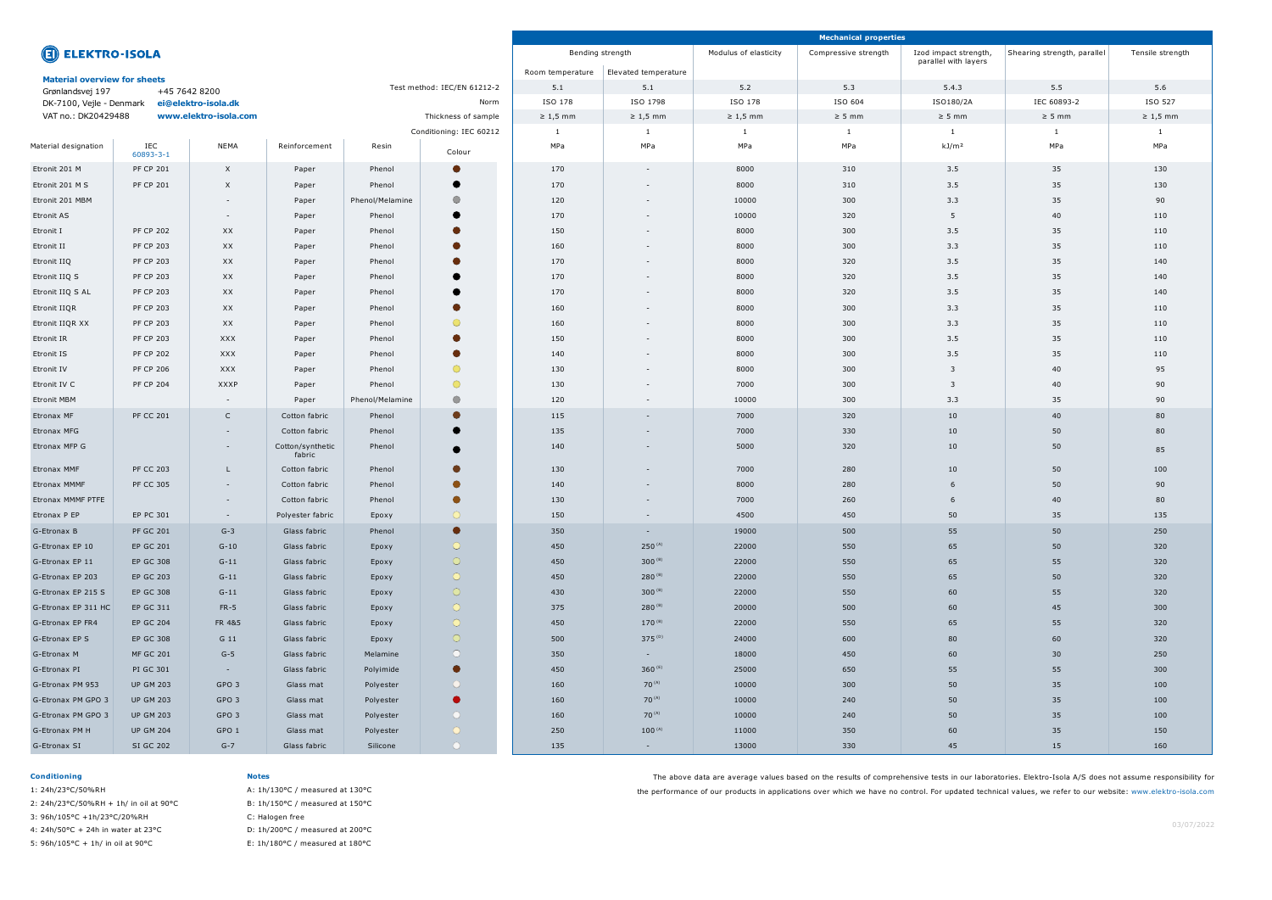|                                                                     |                  |                  |                                   |                         |                |                  |                      |                       | <b>Mechanical properties</b> |                                               |                             |                  |
|---------------------------------------------------------------------|------------------|------------------|-----------------------------------|-------------------------|----------------|------------------|----------------------|-----------------------|------------------------------|-----------------------------------------------|-----------------------------|------------------|
| <b>ED ELEKTRO-ISOLA</b>                                             |                  |                  |                                   |                         |                | Bending strength |                      | Modulus of elasticity | Compressive strength         | Izod impact strength,<br>parallel with layers | Shearing strength, parallel | Tensile strength |
| <b>Material overview for sheets</b>                                 |                  |                  |                                   |                         |                | Room temperature | Elevated temperature |                       |                              |                                               |                             |                  |
| Test method: IEC/EN 61212-2<br>Grønlandsvej 197<br>+45 7642 8200    |                  |                  |                                   |                         |                | 5.1              | 5.1                  | 5.2                   | 5.3                          | 5.4.3                                         | 5.5                         | 5.6              |
| DK-7100, Vejle - Denmark<br>ei@elektro-isola.dk                     |                  |                  |                                   |                         | Norm           | ISO 178          | ISO 1798             | ISO 178               | ISO 604                      | ISO180/2A                                     | IEC 60893-2                 | ISO 527          |
| VAT no.: DK20429488<br>www.elektro-isola.com<br>Thickness of sample |                  |                  |                                   |                         |                | $\geq 1,5$ mm    | $\geq 1,5$ mm        | $\geq 1,5$ mm         | $\geq$ 5 mm                  | $\geq$ 5 mm                                   | $\geq$ 5 mm                 | $\geq 1,5$ mm    |
|                                                                     |                  |                  |                                   | Conditioning: IEC 60212 |                |                  | $\mathbf{1}$         | $\mathbf{1}$          | $\overline{\phantom{0}}$     |                                               | -1                          | -1               |
| Material designation                                                | IEC<br>60893-3-1 | NEMA             | Reinforcement                     | Resin                   | Colour         | MPa              | MPa                  | MPa                   | MPa                          | kJ/m <sup>2</sup>                             | MPa                         | MPa              |
| Etronit 201 M                                                       | <b>PF CP 201</b> | $\mathsf{X}$     | Paper                             | Phenol                  | $\bullet$      | 170              | $\sim$               | 8000                  | 310                          | 3.5                                           | 35                          | 130              |
| Etronit 201 M S                                                     | <b>PF CP 201</b> | $\times$         | Paper                             | Phenol                  |                | 170              | $\sim$               | 8000                  | 310                          | 3.5                                           | 35                          | 130              |
| Etronit 201 MBM                                                     |                  | $\sim$           | Paper                             | Phenol/Melamine         | $\circ$        | 120              | $\sim$               | 10000                 | 300                          | 3.3                                           | 35                          | 90               |
| <b>Etronit AS</b>                                                   |                  | $\sim$           | Paper                             | Phenol                  |                | 170              | $\sim$               | 10000                 | 320                          | 5                                             | 40                          | 110              |
| Etronit I                                                           | <b>PF CP 202</b> | XX               | Paper                             | Phenol                  |                | 150              |                      | 8000                  | 300                          | 3.5                                           | 35                          | 110              |
| Etronit II                                                          | <b>PF CP 203</b> | XX               | Paper                             | Phenol                  |                | 160              |                      | 8000                  | 300                          | 3.3                                           | 35                          | 110              |
| Etronit IIQ                                                         | <b>PF CP 203</b> | XX               | Paper                             | Phenol                  |                | 170              | $\sim$               | 8000                  | 320                          | 3.5                                           | 35                          | 140              |
| Etronit IIQ S                                                       | <b>PF CP 203</b> | XX               | Paper                             | Phenol                  |                | 170              | $\sim$               | 8000                  | 320                          | 3.5                                           | 35                          | 140              |
| Etronit IIQ S AL                                                    | <b>PF CP 203</b> | XX               | Paper                             | Phenol                  |                | 170              | $\sim$               | 8000                  | 320                          | 3.5                                           | 35                          | 140              |
| Etronit IIQR                                                        | <b>PF CP 203</b> | XX               | Paper                             | Phenol                  | $\blacksquare$ | 160              |                      | 8000                  | 300                          | 3.3                                           | 35                          | 110              |
| Etronit IIQR XX                                                     | <b>PF CP 203</b> | XX               | $\circ$<br>Paper<br>Phenol        |                         |                | 160              |                      | 8000                  | 300                          | 3.3                                           | 35                          | 110              |
| Etronit IR                                                          | <b>PF CP 203</b> | <b>XXX</b>       | Paper                             | Phenol                  |                | 150              | $\sim$               | 8000                  | 300                          | 3.5                                           |                             | 110              |
| Etronit IS                                                          | <b>PF CP 202</b> | XXX              | Paper                             | Phenol                  | $\bullet$      | 140              | $\sim$               | 8000                  | 300                          | 3.5                                           | 35                          | 110              |
| Etronit IV                                                          | <b>PF CP 206</b> | <b>XXX</b>       | Paper                             | Phenol                  | $\circ$        | 130              | $\sim$               | 8000                  | 300                          | $\overline{\mathbf{3}}$                       | 40                          | 95               |
| Etronit IV C                                                        | <b>PF CP 204</b> | <b>XXXP</b>      | Paper                             | Phenol                  | $\bigcirc$     | 130              |                      | 7000                  | 300                          | $\overline{\mathbf{3}}$                       | 40                          | 90               |
| <b>Etronit MBM</b>                                                  |                  | $\sim$           | Paper                             | Phenol/Melamine         | $\bullet$      | 120              |                      | 10000                 | 300                          | 3.3                                           | 35                          | 90               |
| Etronax MF                                                          | <b>PF CC 201</b> | $\mathsf{C}$     | Cotton fabric                     | Phenol                  | O              | 115              | $\sim$               | 7000                  | 320                          | 10                                            | 40                          | 80               |
| Etronax MFG                                                         |                  | $\sim$           | Cotton fabric                     | Phenol                  |                | 135              | $\sim$               | 7000                  | 330                          | 10                                            | 50                          | 80               |
| Etronax MFP G                                                       |                  | $\sim$           | Cotton/synthetic                  | Phenol                  | $\bullet$      | 140              | $\sim$               | 5000                  | 320                          | 10                                            | 50                          | 85               |
| Etronax MMF                                                         | <b>PF CC 203</b> | L                | fabric<br>Cotton fabric           | Phenol                  | $\bullet$      | 130              | $\sim$               | 7000                  | 280                          | 10                                            | 50                          | 100              |
| Etronax MMMF                                                        | <b>PF CC 305</b> | $\sim$           | Cotton fabric                     |                         | O              | 140              | $\sim$               | 8000                  | 280                          | 6                                             | 50                          | 90               |
|                                                                     |                  |                  |                                   | Phenol                  | $\bullet$      |                  |                      |                       |                              |                                               |                             |                  |
| Etronax MMMF PTFE                                                   |                  | $\sim$           | Cotton fabric<br>Polyester fabric | Phenol                  | $\circ$        | 130              | $\sim$               | 7000                  | 260                          | 6                                             | 40                          | 80               |
| Etronax P EP                                                        | EP PC 301        | $\sim$           |                                   | Epoxy                   |                | 150              |                      | 4500                  | 450                          | 50                                            | 35                          | 135              |
| G-Etronax B                                                         | <b>PF GC 201</b> | $G-3$            | Glass fabric                      | Phenol                  | $\bullet$      | 350              | $\sim$ $-$           | 19000                 | 500                          | 55                                            | 50                          | 250              |
| G-Etronax EP 10                                                     | <b>EP GC 201</b> | $G-10$           | Glass fabric                      | Epoxy                   | $\circ$        | 450              | $250^{(A)}$          | 22000                 | 550                          | 65                                            | 50                          | 320              |
| G-Etronax EP 11                                                     | <b>EP GC 308</b> | $G-11$           | Glass fabric                      | Epoxy                   | $\circ$        | 450              | $300^{(B)}$          | 22000                 | 550                          | 65                                            | 55                          | 320              |
| G-Etronax EP 203                                                    | EP GC 203        | $G-11$           | Glass fabric                      | Epoxy                   | $\circ$        | 450              | $280^{(B)}$          | 22000                 | 550                          | 65                                            | 50                          | 320              |
| G-Etronax EP 215 S                                                  | <b>EP GC 308</b> | $G-11$           | Glass fabric                      | Epoxy                   | $\circ$        | 430              | $300^{(B)}$          | 22000                 | 550                          | 60                                            | 55                          | 320              |
| G-Etronax EP 311 HC                                                 | EP GC 311        | $FR-5$           | Glass fabric                      | Epoxy                   | $\circ$        | 375              | $280^{(B)}$          | 20000                 | 500                          | 60                                            | 45                          | 300              |
| G-Etronax EP FR4                                                    | <b>EP GC 204</b> | FR 4&5           | Glass fabric                      | Epoxy                   | $\circ$        | 450              | $170^{(B)}$          | 22000                 | 550                          | 65                                            | 55                          | 320              |
| G-Etronax EP S                                                      | <b>EP GC 308</b> | G 11             | Glass fabric                      | Epoxy                   | $\circ$        | 500              | $375^{(D)}$          | 24000                 | 600                          | 80                                            | 60                          | 320              |
| G-Etronax M                                                         | <b>MF GC 201</b> | $G-5$            | Glass fabric                      | Melamine                | $\circ$        | 350              | $\sim$ $-$           | 18000                 | 450                          | 60                                            | 30 <sup>°</sup>             | 250              |
| G-Etronax PI                                                        | PI GC 301        | $\sim$ $-$       | Glass fabric                      | Polyimide               | $\bullet$      | 450              | 360 $(E)$            | 25000                 | 650                          | 55                                            | 55                          | 300              |
| G-Etronax PM 953                                                    | <b>UP GM 203</b> | GPO 3            | Glass mat                         | Polyester               | $\circ$        | 160              | $70^{(A)}$           | 10000                 | 300                          | 50                                            | 35                          | 100              |
| G-Etronax PM GPO 3                                                  | <b>UP GM 203</b> | GPO <sub>3</sub> | Glass mat                         | Polyester               | $\bullet$      | 160              | $70^{(A)}$           | 10000                 | 240                          | 50                                            | 35                          | 100              |
| G-Etronax PM GPO 3                                                  | <b>UP GM 203</b> | GPO 3            | Glass mat                         | Polyester               | $\circ$        | 160              | $70^{(A)}$           | 10000                 | 240                          | 50                                            | 35                          | 100              |
| G-Etronax PM H                                                      | <b>UP GM 204</b> | GPO 1            | Glass mat                         | Polyester               | $\circ$        | 250              | $100^{(A)}$          | 11000                 | 350                          | 60                                            | 35                          | 150              |
| G-Etronax SI                                                        | SI GC 202        | $G-7$            | Glass fabric                      | Silicone                | $\circ$        | 135              | $\sim$               | 13000                 | 330                          | 45                                            | 15                          | 160              |

### **Conditioning**

1: 24h/23°C/50%RH 2: 24h/23°C/50%RH + 1h/ in oil at 90°C 3: 96h/105°C +1h/23°C/20%RH 4: 24h/50°C + 24h in water at 23°C

5: 96h/105°C + 1h/ in oil at 90°C

## **Notes**

A: 1h/130°C / measured at 130°C B: 1h/150°C / measured at 150°C C: Halogen free D: 1h/200°C / measured at 200°C

E: 1h/180°C / measured at 180°C

The above data are average values based on the results of comprehensive tests in our laboratories. Elektro-Isola A/S does not assume responsibility for

the performance of our products in applications over which we have no control. For updated technical values, we refer to our website: www.elektro-isola.com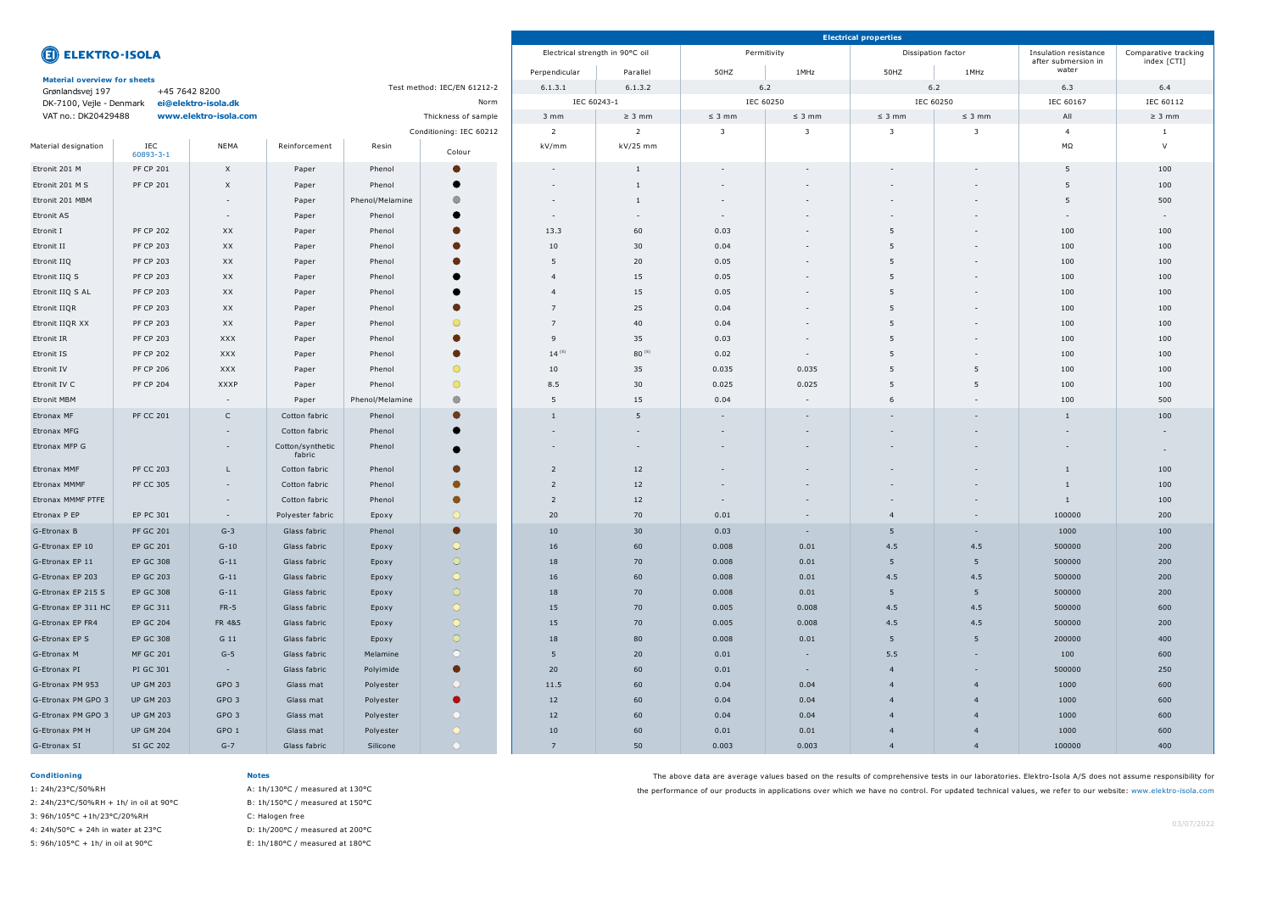|                                                                  |                  |                          |                            |                 |                         |                                 |                          |                          | <b>Electrical properties</b> |                          |             |                                              |                                     |
|------------------------------------------------------------------|------------------|--------------------------|----------------------------|-----------------|-------------------------|---------------------------------|--------------------------|--------------------------|------------------------------|--------------------------|-------------|----------------------------------------------|-------------------------------------|
| <b>ELEKTRO-ISOLA</b>                                             |                  |                          |                            |                 |                         | Electrical strength in 90°C oil |                          | Permitivity              |                              | Dissipation factor       |             | Insulation resistance<br>after submersion in | Comparative tracking<br>index [CTI] |
| <b>Material overview for sheets</b>                              |                  |                          |                            |                 | Perpendicular           | Parallel                        | 50HZ                     | 1MHz                     | 50HZ                         | 1MHz                     | water       |                                              |                                     |
| Test method: IEC/EN 61212-2<br>+45 7642 8200<br>Grønlandsvej 197 |                  |                          |                            |                 | 6.1.3.2<br>6.1.3.1      |                                 | 6.2                      |                          |                              | 6.2                      | 6.3         | 6.4                                          |                                     |
| ei@elektro-isola.dk<br>DK-7100, Vejle - Denmark                  |                  | Norm                     |                            |                 | IEC 60243-1             |                                 | IEC 60250                |                          | IEC 60250                    |                          | IEC 60167   | IEC 60112                                    |                                     |
| VAT no.: DK20429488<br>www.elektro-isola.com                     |                  |                          | Thickness of sample        |                 |                         | $3 \, \text{mm}$                | $\geq$ 3 mm              | $\leq$ 3 mm              | $\leq$ 3 mm                  | $\leq$ 3 mm              | $\leq$ 3 mm | All                                          | $\geq$ 3 mm                         |
|                                                                  |                  |                          |                            |                 | Conditioning: IEC 60212 | $\overline{2}$                  | $\overline{2}$           | - 3                      | $\overline{3}$               | $\overline{\mathbf{3}}$  |             | $\overline{4}$                               |                                     |
| Material designation                                             | IEC<br>60893-3-1 | <b>NEMA</b>              | Reinforcement              | Resin           | Colour                  | kV/mm                           | kV/25 mm                 |                          |                              |                          |             | ΜΩ                                           | $\vee$                              |
| Etronit 201 M                                                    | <b>PF CP 201</b> | $\mathsf{X}$             | Paper                      | Phenol          |                         | $-$                             | 1                        |                          |                              | $\overline{\phantom{a}}$ |             | 5                                            | 100                                 |
| Etronit 201 M S                                                  | <b>PF CP 201</b> | $\times$                 | Paper                      | Phenol          | c                       | $\overline{a}$                  |                          |                          |                              | $\overline{\phantom{a}}$ |             | 5                                            | 100                                 |
| Etronit 201 MBM                                                  |                  | $\sim$                   | Paper                      | Phenol/Melamine | $\bigcirc$              | $\overline{\phantom{a}}$        | -1                       |                          |                              | $\overline{\phantom{a}}$ |             | 5                                            | 500                                 |
| <b>Etronit AS</b>                                                |                  | $\overline{\phantom{a}}$ | Paper                      | Phenol          |                         | $\overline{a}$                  | $\overline{\phantom{0}}$ | $\overline{\phantom{a}}$ |                              | $\overline{\phantom{a}}$ |             |                                              | $\overline{\phantom{0}}$            |
| Etronit I                                                        | <b>PF CP 202</b> | XX                       | Paper                      | Phenol          | O                       | 13.3                            | 60                       | 0.03                     |                              | 5                        |             | 100                                          | 100                                 |
| Etronit II                                                       | <b>PF CP 203</b> | XX                       | Paper                      | Phenol          |                         | 10                              | 30                       | 0.04                     | $\overline{a}$               | 5                        |             | 100                                          | 100                                 |
| Etronit IIQ                                                      | <b>PF CP 203</b> | XX                       | Paper                      | Phenol          |                         | 5                               | 20                       | 0.05                     | $\sim$                       | 5                        |             | 100                                          | 100                                 |
| Etronit IIQ S                                                    | <b>PF CP 203</b> | XX                       | Paper                      | Phenol          |                         | $\overline{4}$                  | 15                       | 0.05                     | $\sim$                       | 5                        |             | 100                                          | 100                                 |
| Etronit IIQ S AL                                                 | <b>PF CP 203</b> | XX                       | Paper                      | Phenol          |                         | $\overline{4}$                  | 15                       | 0.05                     | $\overline{\phantom{a}}$     | 5                        |             | 100                                          | 100                                 |
| Etronit IIQR                                                     | <b>PF CP 203</b> | XX                       | Paper                      | Phenol          | $\blacksquare$          | $\overline{7}$                  | 25                       | 0.04                     |                              | 5                        |             | 100                                          | 100                                 |
| Etronit IIQR XX                                                  | <b>PF CP 203</b> | XX                       | Paper                      | Phenol          | $\circ$                 | $\overline{7}$                  | 40                       | 0.04                     | $\overline{a}$               | 5                        |             | 100                                          | 100                                 |
| Etronit IR                                                       | <b>PF CP 203</b> | XXX                      | Paper                      | Phenol          |                         | 9                               | 35                       | 0.03                     | $\sim$                       | 5                        |             | 100                                          | 100                                 |
| Etronit IS                                                       | <b>PF CP 202</b> | <b>XXX</b>               | Paper                      | Phenol          | $\blacksquare$          | $14^{(5)}$                      | $80^{(5)}$               | 0.02                     | $\sim$                       | 5                        |             | 100                                          | 100                                 |
| Etronit IV                                                       | <b>PF CP 206</b> | <b>XXX</b>               | Paper                      | Phenol          | $\circ$                 | 10                              | 35                       | 0.035                    | 0.035                        | 5                        | -5          | 100                                          | 100                                 |
| Etronit IV C                                                     | <b>PF CP 204</b> | XXXP                     | Paper                      | Phenol          | $\bigcirc$              | 8.5                             | 30 <sup>°</sup>          | 0.025                    | 0.025                        | 5                        | -5          | 100                                          | 100                                 |
| <b>Etronit MBM</b>                                               |                  | $\sim$                   | Paper                      | Phenol/Melamine | $\bullet$               | 5                               | 15                       | 0.04                     | $\sim$                       | 6                        |             | 100                                          | 500                                 |
| Etronax MF                                                       | <b>PF CC 201</b> | $\mathsf{C}$             | Cotton fabric              | Phenol          | $\bullet$               | 1                               | 5                        | $\sim$                   | $\sim$                       | $\sim$                   |             | -1                                           | 100                                 |
| Etronax MFG                                                      |                  | $\overline{\phantom{a}}$ | Cotton fabric              | Phenol          | œ                       |                                 | $\sim$                   |                          |                              | $\overline{\phantom{a}}$ |             |                                              | $\sim$                              |
|                                                                  |                  |                          |                            | Phenol          |                         | $\sim$                          | $\sim$                   |                          |                              | $\overline{\phantom{a}}$ |             |                                              |                                     |
| Etronax MFP G                                                    |                  | $\sim$                   | Cotton/synthetic<br>fabric |                 | $\bullet$               |                                 |                          |                          |                              |                          |             |                                              | $\sim$                              |
| Etronax MMF                                                      | <b>PF CC 203</b> | L                        | Cotton fabric              | Phenol          | $\bullet$               | $\overline{2}$                  | 12                       |                          |                              | $\overline{\phantom{a}}$ |             |                                              | 100                                 |
| Etronax MMMF                                                     | <b>PF CC 305</b> | $\sim$                   | Cotton fabric              | Phenol          | $\bullet$               | $\overline{2}$                  | 12                       |                          |                              | $\overline{\phantom{a}}$ |             |                                              | 100                                 |
| Etronax MMMF PTFE                                                |                  | $\sim$                   | Cotton fabric              | Phenol          | $\bullet$               | $\overline{2}$                  | 12                       |                          |                              | $\overline{\phantom{a}}$ |             | -1                                           | 100                                 |
| Etronax P EP                                                     | EP PC 301        | $\sim$                   | Polyester fabric           | Epoxy           | $\circ$                 | 20                              | 70                       | 0.01                     |                              |                          |             | 100000                                       | 200                                 |
| G-Etronax B                                                      | <b>PF GC 201</b> | $G-3$                    | Glass fabric               | Phenol          | $\bullet$               | 10                              | 30 <sup>°</sup>          | 0.03                     | $\sim$                       | 5                        | $\sim$      | 1000                                         | 100                                 |
| G-Etronax EP 10                                                  | <b>EP GC 201</b> | $G-10$                   | Glass fabric               | Epoxy           | $\circ$                 | 16                              | 60                       | 0.008                    | 0.01                         | 4.5                      | 4.5         | 500000                                       | 200                                 |
| G-Etronax EP 11                                                  | <b>EP GC 308</b> | $G-11$                   | Glass fabric               | Epoxy           | $\circ$                 | 18                              | 70                       | 0.008                    | 0.01                         | 5 <sup>5</sup>           | 5           | 500000                                       | 200                                 |
| G-Etronax EP 203                                                 | EP GC 203        | $G-11$                   | Glass fabric               | Epoxy           | $\circ$                 | 16                              | 60                       | 0.008                    | 0.01                         | 4.5                      | 4.5         | 500000                                       | 200                                 |
| G-Etronax EP 215 S                                               | <b>EP GC 308</b> | $G-11$                   | Glass fabric               | Epoxy           | $\circ$                 | 18                              | 70                       | 0.008                    | 0.01                         | 5 <sup>5</sup>           | 5           | 500000                                       | 200                                 |
| G-Etronax EP 311 HC                                              | EP GC 311        | $FR-5$                   | Glass fabric               | Epoxy           | $\circ$                 | 15                              | 70                       | 0.005                    | 0.008                        | 4.5                      | 4.5         | 500000                                       | 600                                 |
| G-Etronax EP FR4                                                 | <b>EP GC 204</b> | FR 4&5                   | Glass fabric               | Epoxy           | $\circ$                 | 15                              | 70                       | 0.005                    | 0.008                        | 4.5                      | 4.5         | 500000                                       | 200                                 |
| G-Etronax EP S                                                   | <b>EP GC 308</b> | G 11                     | Glass fabric               | Epoxy           | $\circ$                 | 18                              | 80                       | 0.008                    | 0.01                         | 5 <sup>5</sup>           | 5           | 200000                                       | 400                                 |
| G-Etronax M                                                      | <b>MF GC 201</b> | $G-5$                    | Glass fabric               | Melamine        | $\circ$                 | 5                               | 20                       | 0.01                     | $\sim$                       | 5.5                      | $\sim$      | 100                                          | 600                                 |
| G-Etronax PI                                                     | PI GC 301        | $\sim$ $-$               | Glass fabric               | Polyimide       | $\bullet$               | 20                              | 60                       | 0.01                     | $\sim$                       | $\overline{4}$           |             | 500000                                       | 250                                 |
| G-Etronax PM 953                                                 | <b>UP GM 203</b> | GPO 3                    | Glass mat                  | Polyester       | $\circ$                 | 11.5                            | 60                       | 0.04                     | 0.04                         |                          | -4          | 1000                                         | 600                                 |
| G-Etronax PM GPO 3                                               | <b>UP GM 203</b> | GPO 3                    | Glass mat                  | Polyester       | $\bullet$               | 12                              | 60                       | 0.04                     | 0.04                         |                          |             | 1000                                         | 600                                 |
| G-Etronax PM GPO 3                                               | <b>UP GM 203</b> | GPO 3                    | Glass mat                  | Polyester       | $\circ$                 | 12                              | 60                       | 0.04                     | 0.04                         |                          | -4          | 1000                                         | 600                                 |
| G-Etronax PM H                                                   | <b>UP GM 204</b> | GPO 1                    | Glass mat                  | Polyester       | $\circ$                 | 10                              | 60                       | 0.01                     | 0.01                         | $\overline{4}$           | -4          | 1000                                         | 600                                 |
| G-Etronax SI                                                     | SI GC 202        | $G-7$                    | Glass fabric               | Silicone        | $\circ$                 | $\overline{7}$                  | 50                       | 0.003                    | 0.003                        | $\overline{4}$           | -4          | 100000                                       | 400                                 |
|                                                                  |                  |                          |                            |                 |                         |                                 |                          |                          |                              |                          |             |                                              |                                     |

## **Conditioning**

1: 24h/23°C/50%RH 2: 24h/23°C/50%RH + 1h/ in oil at 90°C 3: 96h/105°C +1h/23°C/20%RH 4: 24h/50°C + 24h in water at 23°C

5: 96h/105°C + 1h/ in oil at 90°C

**Notes**

# A: 1h/130°C / measured at 130°C B: 1h/150°C / measured at 150°C

C: Halogen free D: 1h/200°C / measured at 200°C

E: 1h/180°C / measured at 180°C

The above data are average values based on the results of comprehensive tests in our laboratories. Elektro-Isola A/S does not assume responsibility for the performance of our products in applications over which we have no control. For updated technical values, we refer to our website: www.elektro-isola.com